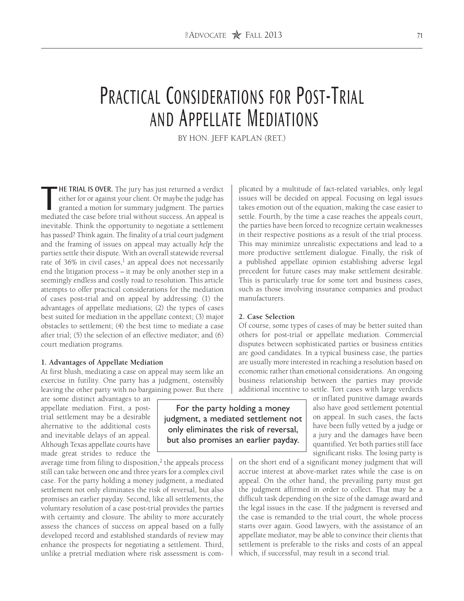# PRACTICAL CONSIDERATIONS FOR POST-TRIAL and Appellate Mediations

BY HON. JEFF KAPLAN (RET.)

**THE TRIAL IS OVER.** The jury has just returned a verdict either for or against your client. Or maybe the judge has granted a motion for summary judgment. The parties mediated the case before trial without success. An appe "HE TRIAL IS OVER. The jury has just returned a verdict either for or against your client. Or maybe the judge has granted a motion for summary judgment. The parties inevitable. Think the opportunity to negotiate a settlement has passed? Think again. The finality of a trial court judgment and the framing of issues on appeal may actually *help* the parties settle their dispute. With an overall statewide reversal rate of 36% in civil cases, $<sup>1</sup>$  an appeal does not necessarily</sup> end the litigation process – it may be only another step in a seemingly endless and costly road to resolution. This article attempts to offer practical considerations for the mediation of cases post-trial and on appeal by addressing: (1) the advantages of appellate mediations; (2) the types of cases best suited for mediation in the appellate context; (3) major obstacles to settlement; (4) the best time to mediate a case after trial; (5) the selection of an effective mediator; and (6) court mediation programs.

### **1. Advantages of Appellate Mediation**

At first blush, mediating a case on appeal may seem like an exercise in futility. One party has a judgment, ostensibly leaving the other party with no bargaining power. But there

are some distinct advantages to an appellate mediation. First, a posttrial settlement may be a desirable alternative to the additional costs and inevitable delays of an appeal. Although Texas appellate courts have made great strides to reduce the

average time from filing to disposition, $2$  the appeals process still can take between one and three years for a complex civil case. For the party holding a money judgment, a mediated settlement not only eliminates the risk of reversal, but also promises an earlier payday. Second, like all settlements, the voluntary resolution of a case post-trial provides the parties with certainty and closure. The ability to more accurately assess the chances of success on appeal based on a fully developed record and established standards of review may enhance the prospects for negotiating a settlement. Third, unlike a pretrial mediation where risk assessment is complicated by a multitude of fact-related variables, only legal issues will be decided on appeal. Focusing on legal issues takes emotion out of the equation, making the case easier to settle. Fourth, by the time a case reaches the appeals court, the parties have been forced to recognize certain weaknesses in their respective positions as a result of the trial process. This may minimize unrealistic expectations and lead to a more productive settlement dialogue. Finally, the risk of a published appellate opinion establishing adverse legal precedent for future cases may make settlement desirable. This is particularly true for some tort and business cases, such as those involving insurance companies and product manufacturers.

#### **2. Case Selection**

Of course, some types of cases of may be better suited than others for post-trial or appellate mediation. Commercial disputes between sophisticated parties or business entities are good candidates. In a typical business case, the parties are usually more interested in reaching a resolution based on economic rather than emotional considerations. An ongoing business relationship between the parties may provide additional incentive to settle. Tort cases with large verdicts

> or inflated punitive damage awards also have good settlement potential on appeal. In such cases, the facts have been fully vetted by a judge or a jury and the damages have been quantified. Yet both parties still face significant risks. The losing party is

on the short end of a significant money judgment that will accrue interest at above-market rates while the case is on appeal. On the other hand, the prevailing party must get the judgment affirmed in order to collect. That may be a difficult task depending on the size of the damage award and the legal issues in the case. If the judgment is reversed and the case is remanded to the trial court, the whole process starts over again. Good lawyers, with the assistance of an appellate mediator, may be able to convince their clients that settlement is preferable to the risks and costs of an appeal which, if successful, may result in a second trial.

For the party holding a money judgment, a mediated settlement not only eliminates the risk of reversal, but also promises an earlier payday.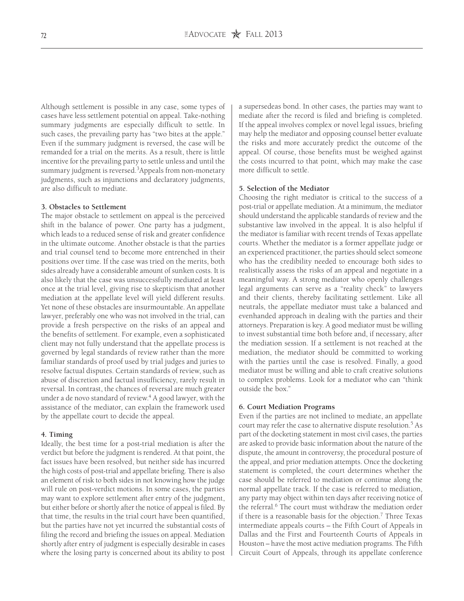Although settlement is possible in any case, some types of cases have less settlement potential on appeal. Take-nothing summary judgments are especially difficult to settle. In such cases, the prevailing party has "two bites at the apple." Even if the summary judgment is reversed, the case will be remanded for a trial on the merits. As a result, there is little incentive for the prevailing party to settle unless and until the summary judgment is reversed.<sup>3</sup>Appeals from non-monetary judgments, such as injunctions and declaratory judgments, are also difficult to mediate.

## **3. Obstacles to Settlement**

The major obstacle to settlement on appeal is the perceived shift in the balance of power. One party has a judgment, which leads to a reduced sense of risk and greater confidence in the ultimate outcome. Another obstacle is that the parties and trial counsel tend to become more entrenched in their positions over time. If the case was tried on the merits, both sides already have a considerable amount of sunken costs. It is also likely that the case was unsuccessfully mediated at least once at the trial level, giving rise to skepticism that another mediation at the appellate level will yield different results. Yet none of these obstacles are insurmountable. An appellate lawyer, preferably one who was not involved in the trial, can provide a fresh perspective on the risks of an appeal and the benefits of settlement. For example, even a sophisticated client may not fully understand that the appellate process is governed by legal standards of review rather than the more familiar standards of proof used by trial judges and juries to resolve factual disputes. Certain standards of review, such as abuse of discretion and factual insufficiency, rarely result in reversal. In contrast, the chances of reversal are much greater under a de novo standard of review.<sup>4</sup> A good lawyer, with the assistance of the mediator, can explain the framework used by the appellate court to decide the appeal.

#### **4. Timing**

Ideally, the best time for a post-trial mediation is after the verdict but before the judgment is rendered. At that point, the fact issues have been resolved, but neither side has incurred the high costs of post-trial and appellate briefing. There is also an element of risk to both sides in not knowing how the judge will rule on post-verdict motions. In some cases, the parties may want to explore settlement after entry of the judgment, but either before or shortly after the notice of appeal is filed. By that time, the results in the trial court have been quantified, but the parties have not yet incurred the substantial costs of filing the record and briefing the issues on appeal. Mediation shortly after entry of judgment is especially desirable in cases where the losing party is concerned about its ability to post

a supersedeas bond. In other cases, the parties may want to mediate after the record is filed and briefing is completed. If the appeal involves complex or novel legal issues, briefing may help the mediator and opposing counsel better evaluate the risks and more accurately predict the outcome of the appeal. Of course, those benefits must be weighed against the costs incurred to that point, which may make the case more difficult to settle.

## **5. Selection of the Mediator**

Choosing the right mediator is critical to the success of a post-trial or appellate mediation. At a minimum, the mediator should understand the applicable standards of review and the substantive law involved in the appeal. It is also helpful if the mediator is familiar with recent trends of Texas appellate courts. Whether the mediator is a former appellate judge or an experienced practitioner, the parties should select someone who has the credibility needed to encourage both sides to realistically assess the risks of an appeal and negotiate in a meaningful way. A strong mediator who openly challenges legal arguments can serve as a "reality check" to lawyers and their clients, thereby facilitating settlement. Like all neutrals, the appellate mediator must take a balanced and evenhanded approach in dealing with the parties and their attorneys. Preparation is key. A good mediator must be willing to invest substantial time both before and, if necessary, after the mediation session. If a settlement is not reached at the mediation, the mediator should be committed to working with the parties until the case is resolved. Finally, a good mediator must be willing and able to craft creative solutions to complex problems. Look for a mediator who can "think outside the box."

### **6. Court Mediation Programs**

Even if the parties are not inclined to mediate, an appellate court may refer the case to alternative dispute resolution.<sup>5</sup> As part of the docketing statement in most civil cases, the parties are asked to provide basic information about the nature of the dispute, the amount in controversy, the procedural posture of the appeal, and prior mediation attempts. Once the docketing statement is completed, the court determines whether the case should be referred to mediation or continue along the normal appellate track. If the case is referred to mediation, any party may object within ten days after receiving notice of the referral.<sup>6</sup> The court must withdraw the mediation order if there is a reasonable basis for the objection.7 Three Texas intermediate appeals courts – the Fifth Court of Appeals in Dallas and the First and Fourteenth Courts of Appeals in Houston – have the most active mediation programs. The Fifth Circuit Court of Appeals, through its appellate conference